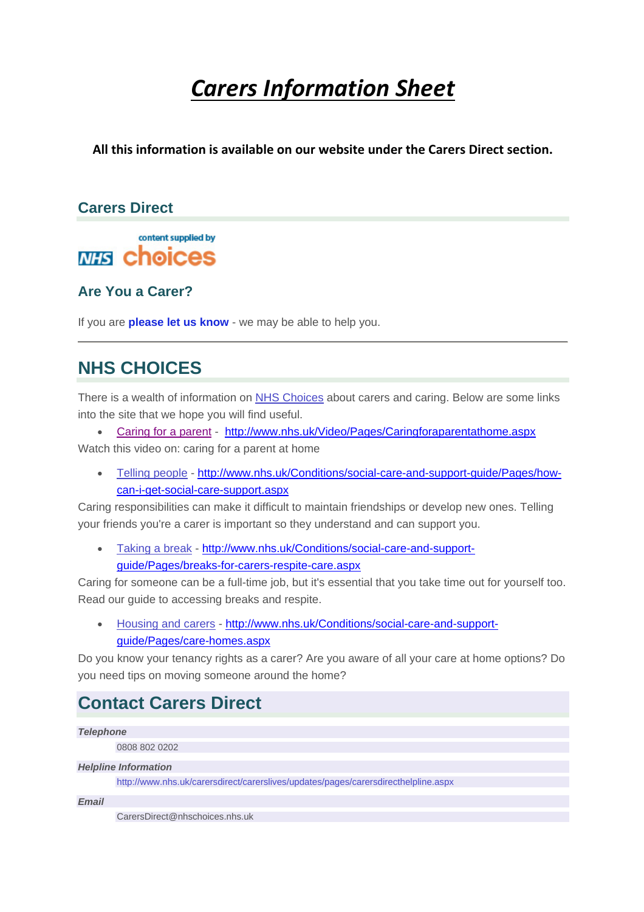# *Carers Information Sheet*

**All this information is available on our website under the Carers Direct section.**

### **Carers Direct**

content supplied by **MIS choices** 

**Are You a Carer?**

If you are **please let us know** - we may be able to help you.

### **NHS CHOICES**

There is a wealth of information on NHS Choices about carers and caring. Below are some links into the site that we hope you will find useful.

Caring for a parent - http://www.nhs.uk/Video/Pages/Caringforaparentathome.aspx

Watch this video on: caring for a parent at home

 Telling people - http://www.nhs.uk/Conditions/social-care-and-support-guide/Pages/howcan-i-get-social-care-support.aspx

Caring responsibilities can make it difficult to maintain friendships or develop new ones. Telling your friends you're a carer is important so they understand and can support you.

 Taking a break - http://www.nhs.uk/Conditions/social-care-and-supportguide/Pages/breaks-for-carers-respite-care.aspx

Caring for someone can be a full-time job, but it's essential that you take time out for yourself too. Read our guide to accessing breaks and respite.

 Housing and carers - http://www.nhs.uk/Conditions/social-care-and-supportguide/Pages/care-homes.aspx

Do you know your tenancy rights as a carer? Are you aware of all your care at home options? Do you need tips on moving someone around the home?

### **Contact Carers Direct**

*Telephone* 

0808 802 0202

#### *Helpline Information*

http://www.nhs.uk/carersdirect/carerslives/updates/pages/carersdirecthelpline.aspx

*Email* 

CarersDirect@nhschoices.nhs.uk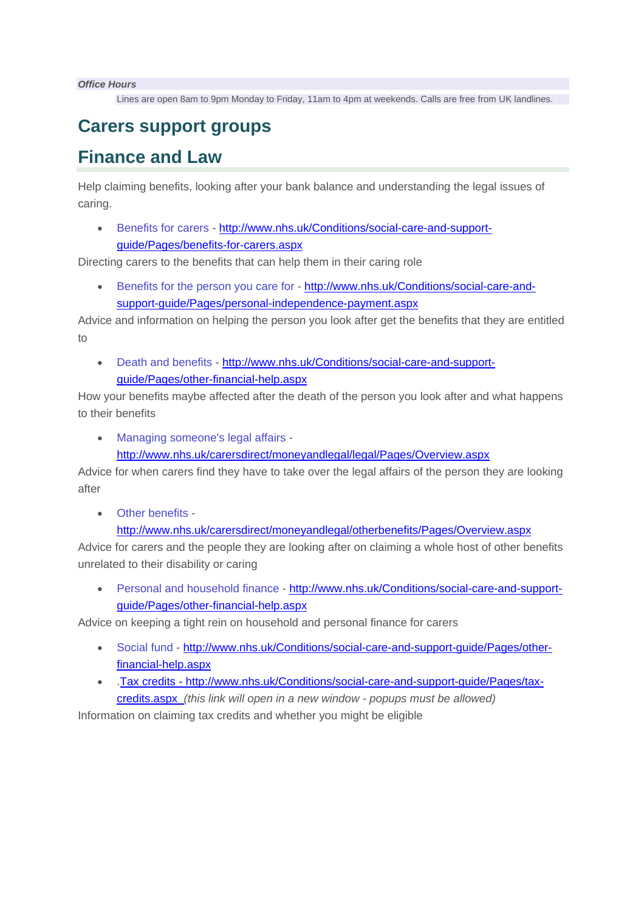*Office Hours* 

Lines are open 8am to 9pm Monday to Friday, 11am to 4pm at weekends. Calls are free from UK landlines.

### **Carers support groups**

### **Finance and Law**

Help claiming benefits, looking after your bank balance and understanding the legal issues of caring.

 Benefits for carers - http://www.nhs.uk/Conditions/social-care-and-supportguide/Pages/benefits-for-carers.aspx

Directing carers to the benefits that can help them in their caring role

• Benefits for the person you care for - http://www.nhs.uk/Conditions/social-care-andsupport-guide/Pages/personal-independence-payment.aspx

Advice and information on helping the person you look after get the benefits that they are entitled to

 Death and benefits - http://www.nhs.uk/Conditions/social-care-and-supportguide/Pages/other-financial-help.aspx

How your benefits maybe affected after the death of the person you look after and what happens to their benefits

Managing someone's legal affairs -

http://www.nhs.uk/carersdirect/moneyandlegal/legal/Pages/Overview.aspx

Advice for when carers find they have to take over the legal affairs of the person they are looking after

Other benefits -

http://www.nhs.uk/carersdirect/moneyandlegal/otherbenefits/Pages/Overview.aspx

Advice for carers and the people they are looking after on claiming a whole host of other benefits unrelated to their disability or caring

 Personal and household finance - http://www.nhs.uk/Conditions/social-care-and-supportguide/Pages/other-financial-help.aspx

Advice on keeping a tight rein on household and personal finance for carers

- Social fund http://www.nhs.uk/Conditions/social-care-and-support-guide/Pages/otherfinancial-help.aspx
- .Tax credits http://www.nhs.uk/Conditions/social-care-and-support-guide/Pages/taxcredits.aspx *(this link will open in a new window - popups must be allowed)*

Information on claiming tax credits and whether you might be eligible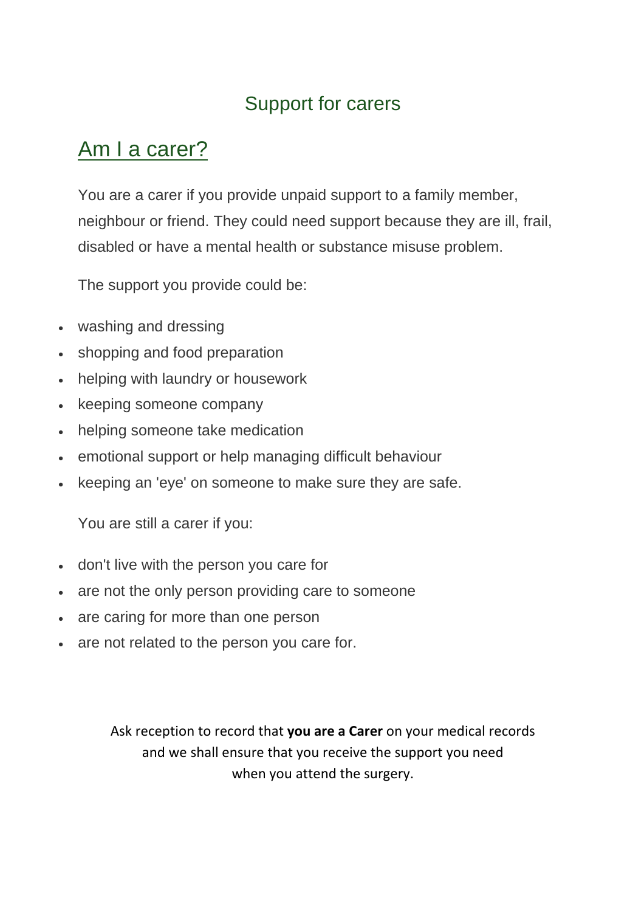## Support for carers

# Am I a carer?

You are a carer if you provide unpaid support to a family member, neighbour or friend. They could need support because they are ill, frail, disabled or have a mental health or substance misuse problem.

The support you provide could be:

- washing and dressing
- shopping and food preparation
- helping with laundry or housework
- keeping someone company
- helping someone take medication
- emotional support or help managing difficult behaviour
- keeping an 'eye' on someone to make sure they are safe.

You are still a carer if you:

- don't live with the person you care for
- are not the only person providing care to someone
- are caring for more than one person
- are not related to the person you care for.

Ask reception to record that **you are a Carer** on your medical records and we shall ensure that you receive the support you need when you attend the surgery.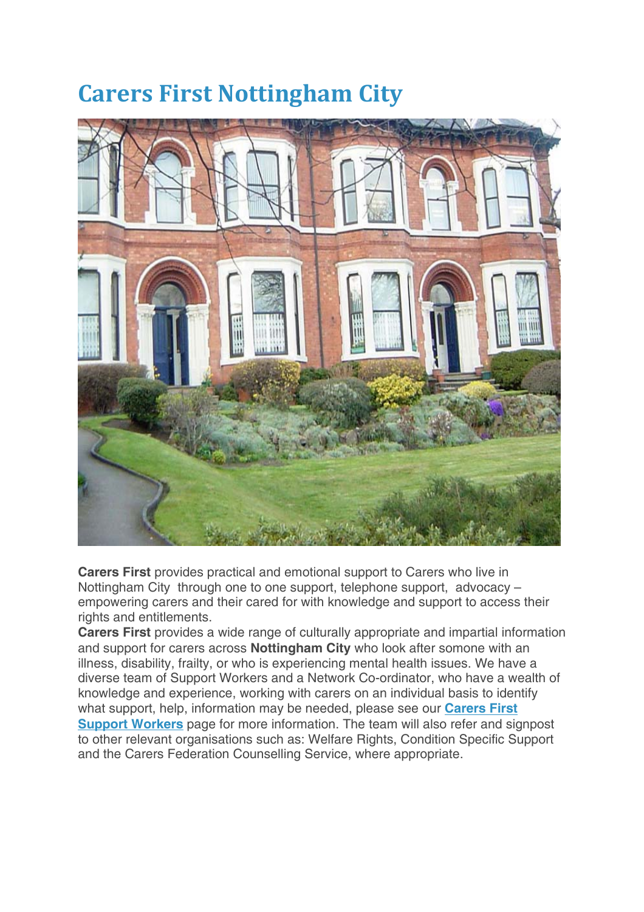# **Carers First Nottingham City**



**Carers First** provides practical and emotional support to Carers who live in Nottingham City through one to one support, telephone support, advocacy – empowering carers and their cared for with knowledge and support to access their rights and entitlements.

**Carers First** provides a wide range of culturally appropriate and impartial information and support for carers across **Nottingham City** who look after somone with an illness, disability, frailty, or who is experiencing mental health issues. We have a diverse team of Support Workers and a Network Co-ordinator, who have a wealth of knowledge and experience, working with carers on an individual basis to identify what support, help, information may be needed, please see our **Carers First Support Workers** page for more information. The team will also refer and signpost to other relevant organisations such as: Welfare Rights, Condition Specific Support and the Carers Federation Counselling Service, where appropriate.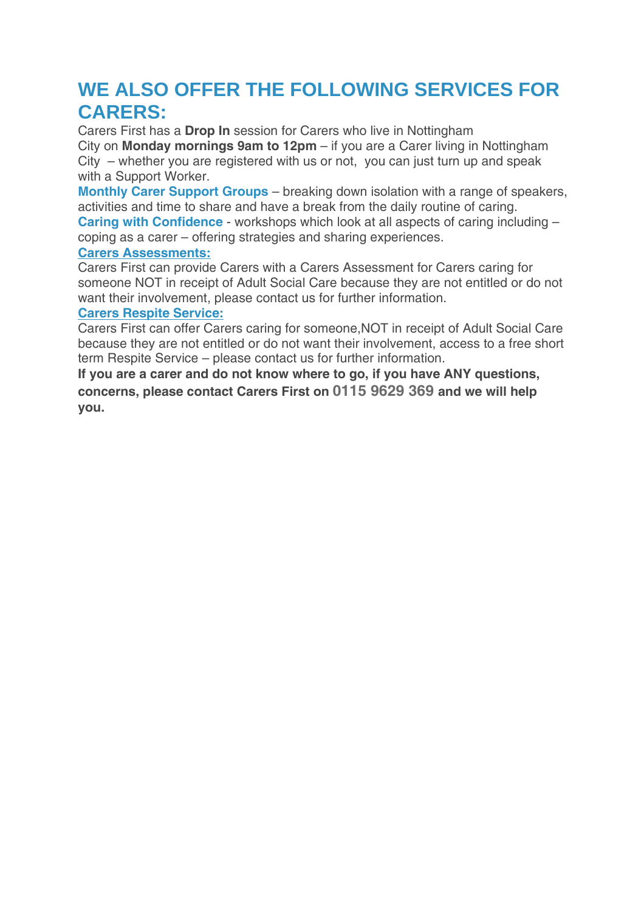## **WE ALSO OFFER THE FOLLOWING SERVICES FOR CARERS:**

Carers First has a **Drop In** session for Carers who live in Nottingham City on **Monday mornings 9am to 12pm** – if you are a Carer living in Nottingham City – whether you are registered with us or not, you can just turn up and speak with a Support Worker.

**Monthly Carer Support Groups** – breaking down isolation with a range of speakers, activities and time to share and have a break from the daily routine of caring. **Caring with Confidence** - workshops which look at all aspects of caring including –

coping as a carer – offering strategies and sharing experiences.

#### **Carers Assessments:**

Carers First can provide Carers with a Carers Assessment for Carers caring for someone NOT in receipt of Adult Social Care because they are not entitled or do not want their involvement, please contact us for further information.

#### **Carers Respite Service:**

Carers First can offer Carers caring for someone,NOT in receipt of Adult Social Care because they are not entitled or do not want their involvement, access to a free short term Respite Service – please contact us for further information.

**If you are a carer and do not know where to go, if you have ANY questions, concerns, please contact Carers First on 0115 9629 369 and we will help you.**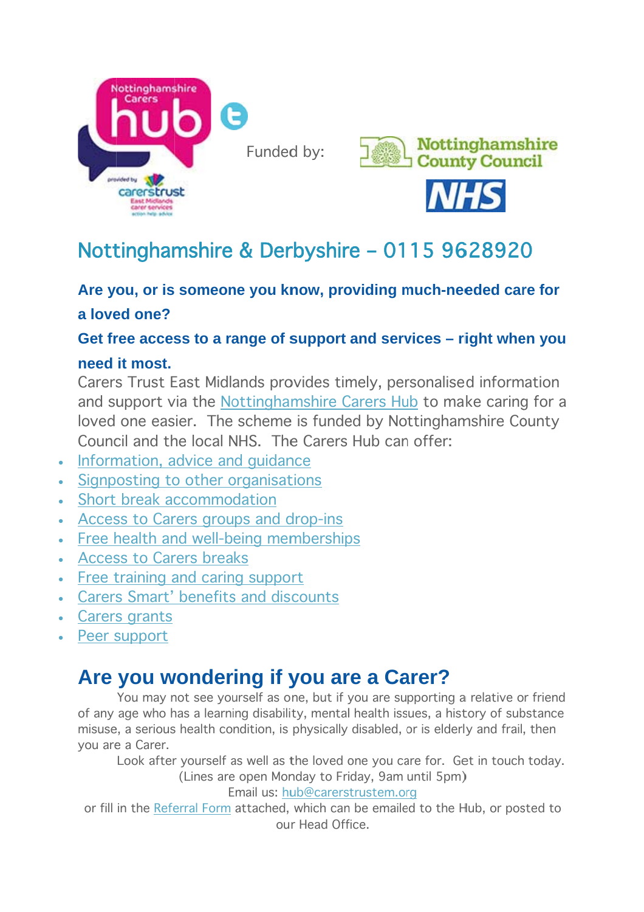

**Nottinghamshire** 



# Nottinghamshire & Derbyshire - 0115 9628920

### Are you, or is someone you know, providing much-needed care for a loved one?

### Get free access to a range of support and services – right when you

### **need it most.**

Carers Trust East Midlands provides timely, personalised information and support via the Nottinghamshire Carers Hub to make caring for a loved one easier. The scheme is funded by Nottinghamshire County Council and the local NHS. The Carers Hub can offer:

- Information, advice and guidance
- Signposting to other organisations
- Short break accommodation
- Access to Carers groups and drop-ins
- Free health and well-being memberships
- Access to Carers breaks
- Free training and caring support
- Carers Smart' benefits and discounts
- Carers grants
- Peer support

# Are you wondering if you are a Carer?

of any age who h has a learn ing disabili ty, mental l health iss ues, a hist tory of sub bstance misuse, a serious health condition, is physically disabled, or is elderly and frail, then you are e a Carer. You may not see yourself as one, but if you are supporting a relative or friend

Look after yourself as well as the loved one you care for. Get in touch today. (Lines are open Monday to Friday, 9am until 5pm)

Email us: hub@carerstrustem.org

(Lines are open Monday to Friday, 9am until 5pm)<br>Email us: <u>hub@carerstrustem.org</u><br>or fill in the <u>Referral Form</u> attached, which can be emailed to the Hub, or posted to ou r Head Off fice.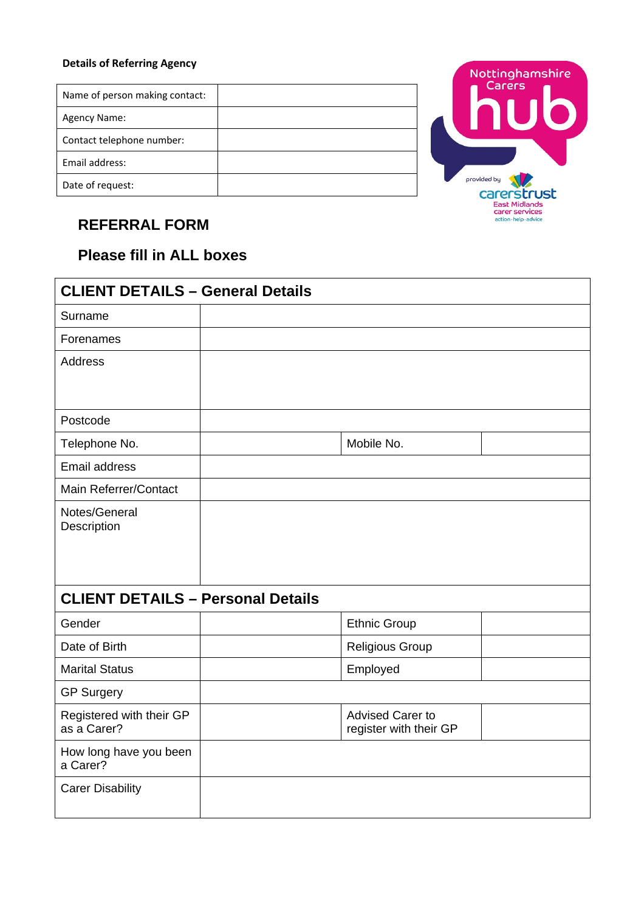#### **Details of Referring Agency**

| Name of person making contact: |  |
|--------------------------------|--|
| Agency Name:                   |  |
| Contact telephone number:      |  |
| Email address:                 |  |
| Date of request:               |  |



## **REFERRAL FORM**

### **Please fill in ALL boxes**